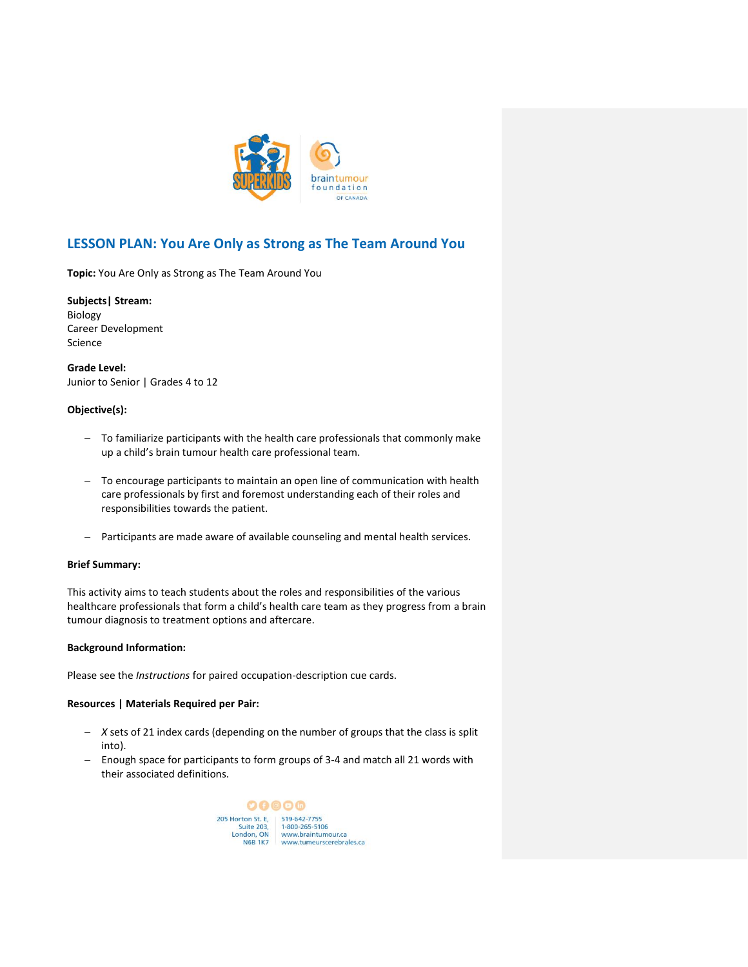

# **LESSON PLAN: You Are Only as Strong as The Team Around You**

**Topic:** You Are Only as Strong as The Team Around You

**Subjects| Stream:** Biology Career Development Science

**Grade Level:** Junior to Senior | Grades 4 to 12

# **Objective(s):**

- − To familiarize participants with the health care professionals that commonly make up a child's brain tumour health care professional team.
- − To encourage participants to maintain an open line of communication with health care professionals by first and foremost understanding each of their roles and responsibilities towards the patient.
- − Participants are made aware of available counseling and mental health services.

### **Brief Summary:**

This activity aims to teach students about the roles and responsibilities of the various healthcare professionals that form a child's health care team as they progress from a brain tumour diagnosis to treatment options and aftercare.

### **Background Information:**

Please see the *Instructions* for paired occupation-description cue cards.

# **Resources | Materials Required per Pair:**

- − *X* sets of 21 index cards (depending on the number of groups that the class is split into).
- − Enough space for participants to form groups of 3-4 and match all 21 words with their associated definitions.

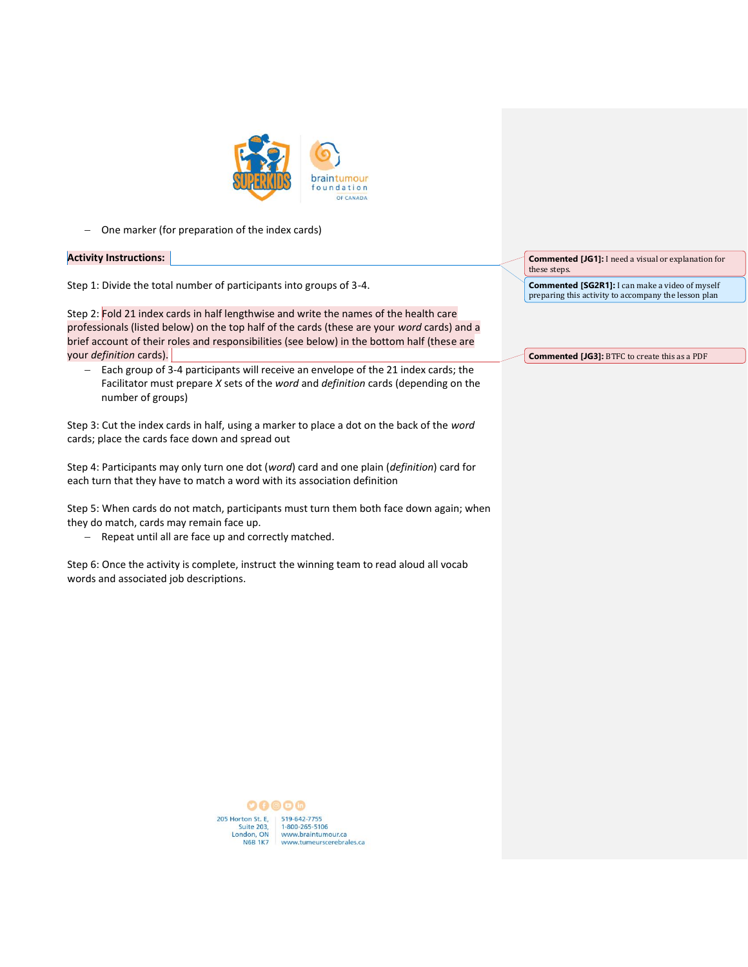

− One marker (for preparation of the index cards)

### **Activity Instructions:**

Step 1: Divide the total number of participants into groups of 3-4.

Step 2: Fold 21 index cards in half lengthwise and write the names of the health care professionals (listed below) on the top half of the cards (these are your *word* cards) and a brief account of their roles and responsibilities (see below) in the bottom half (these are your *definition* cards).

− Each group of 3-4 participants will receive an envelope of the 21 index cards; the Facilitator must prepare *X* sets of the *word* and *definition* cards (depending on the number of groups)

Step 3: Cut the index cards in half, using a marker to place a dot on the back of the *word*  cards; place the cards face down and spread out

Step 4: Participants may only turn one dot (*word*) card and one plain (*definition*) card for each turn that they have to match a word with its association definition

Step 5: When cards do not match, participants must turn them both face down again; when they do match, cards may remain face up.

− Repeat until all are face up and correctly matched.

Step 6: Once the activity is complete, instruct the winning team to read aloud all vocab words and associated job descriptions.

**Commented [JG1]:** I need a visual or explanation for these steps.

**Commented [SG2R1]:** I can make a video of myself preparing this activity to accompany the lesson plan

**Commented [JG3]:** BTFC to create this as a PDF

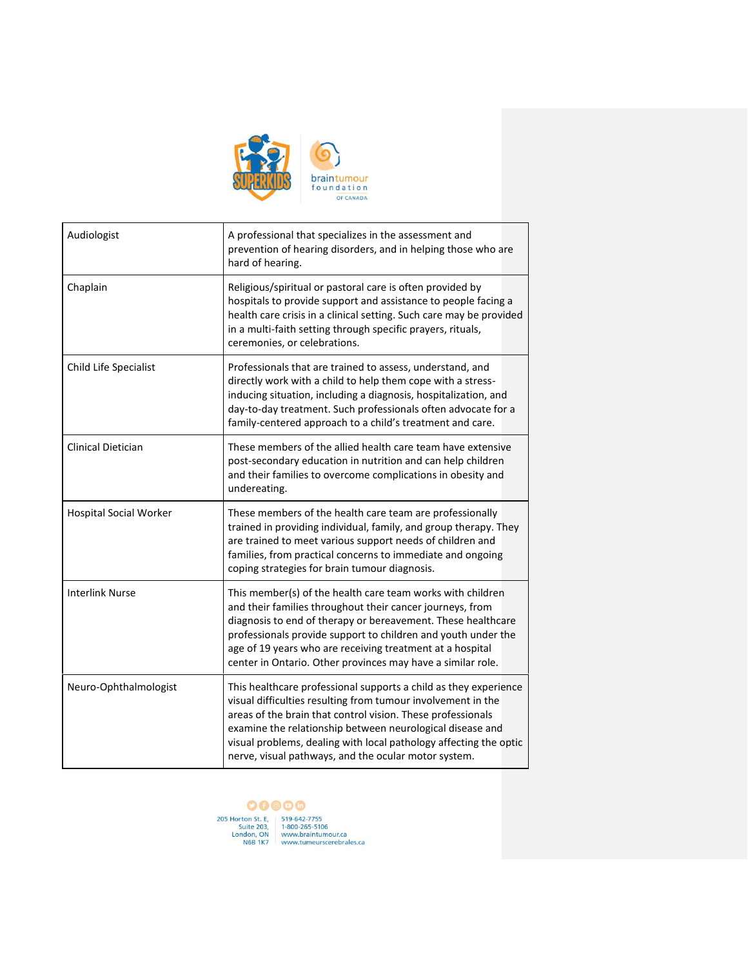

| Audiologist                   | A professional that specializes in the assessment and<br>prevention of hearing disorders, and in helping those who are<br>hard of hearing.                                                                                                                                                                                                                                                |
|-------------------------------|-------------------------------------------------------------------------------------------------------------------------------------------------------------------------------------------------------------------------------------------------------------------------------------------------------------------------------------------------------------------------------------------|
| Chaplain                      | Religious/spiritual or pastoral care is often provided by<br>hospitals to provide support and assistance to people facing a<br>health care crisis in a clinical setting. Such care may be provided<br>in a multi-faith setting through specific prayers, rituals,<br>ceremonies, or celebrations.                                                                                         |
| Child Life Specialist         | Professionals that are trained to assess, understand, and<br>directly work with a child to help them cope with a stress-<br>inducing situation, including a diagnosis, hospitalization, and<br>day-to-day treatment. Such professionals often advocate for a<br>family-centered approach to a child's treatment and care.                                                                 |
| Clinical Dietician            | These members of the allied health care team have extensive<br>post-secondary education in nutrition and can help children<br>and their families to overcome complications in obesity and<br>undereating.                                                                                                                                                                                 |
| <b>Hospital Social Worker</b> | These members of the health care team are professionally<br>trained in providing individual, family, and group therapy. They<br>are trained to meet various support needs of children and<br>families, from practical concerns to immediate and ongoing<br>coping strategies for brain tumour diagnosis.                                                                                  |
| <b>Interlink Nurse</b>        | This member(s) of the health care team works with children<br>and their families throughout their cancer journeys, from<br>diagnosis to end of therapy or bereavement. These healthcare<br>professionals provide support to children and youth under the<br>age of 19 years who are receiving treatment at a hospital<br>center in Ontario. Other provinces may have a similar role.      |
| Neuro-Ophthalmologist         | This healthcare professional supports a child as they experience<br>visual difficulties resulting from tumour involvement in the<br>areas of the brain that control vision. These professionals<br>examine the relationship between neurological disease and<br>visual problems, dealing with local pathology affecting the optic<br>nerve, visual pathways, and the ocular motor system. |

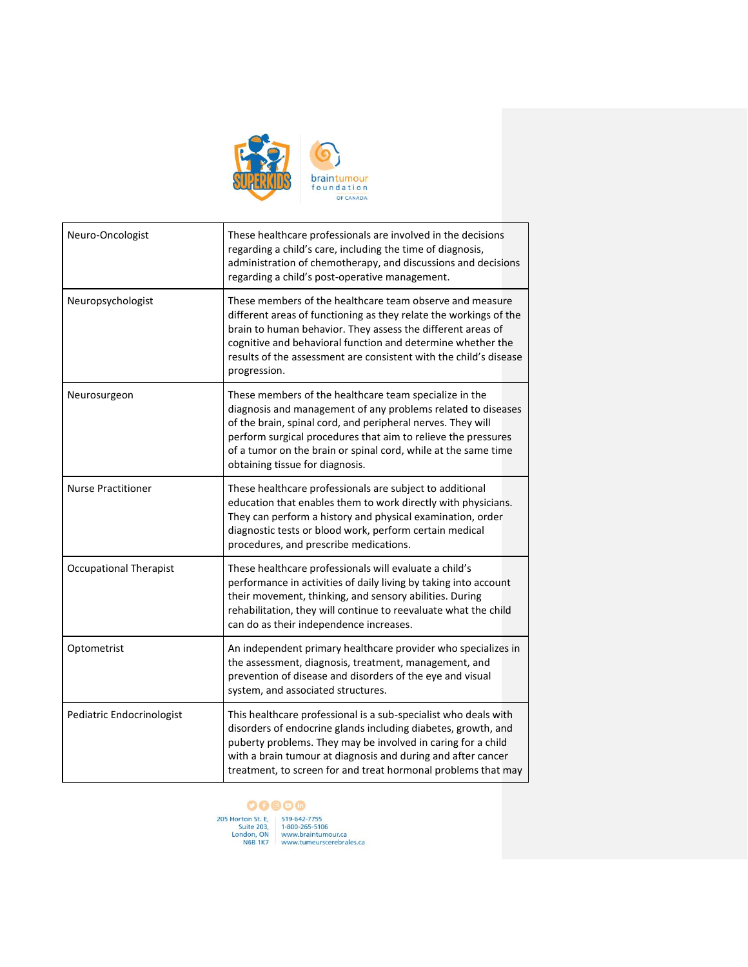

| Neuro-Oncologist              | These healthcare professionals are involved in the decisions<br>regarding a child's care, including the time of diagnosis,<br>administration of chemotherapy, and discussions and decisions<br>regarding a child's post-operative management.                                                                                                               |
|-------------------------------|-------------------------------------------------------------------------------------------------------------------------------------------------------------------------------------------------------------------------------------------------------------------------------------------------------------------------------------------------------------|
| Neuropsychologist             | These members of the healthcare team observe and measure<br>different areas of functioning as they relate the workings of the<br>brain to human behavior. They assess the different areas of<br>cognitive and behavioral function and determine whether the<br>results of the assessment are consistent with the child's disease<br>progression.            |
| Neurosurgeon                  | These members of the healthcare team specialize in the<br>diagnosis and management of any problems related to diseases<br>of the brain, spinal cord, and peripheral nerves. They will<br>perform surgical procedures that aim to relieve the pressures<br>of a tumor on the brain or spinal cord, while at the same time<br>obtaining tissue for diagnosis. |
| <b>Nurse Practitioner</b>     | These healthcare professionals are subject to additional<br>education that enables them to work directly with physicians.<br>They can perform a history and physical examination, order<br>diagnostic tests or blood work, perform certain medical<br>procedures, and prescribe medications.                                                                |
| <b>Occupational Therapist</b> | These healthcare professionals will evaluate a child's<br>performance in activities of daily living by taking into account<br>their movement, thinking, and sensory abilities. During<br>rehabilitation, they will continue to reevaluate what the child<br>can do as their independence increases.                                                         |
| Optometrist                   | An independent primary healthcare provider who specializes in<br>the assessment, diagnosis, treatment, management, and<br>prevention of disease and disorders of the eye and visual<br>system, and associated structures.                                                                                                                                   |
| Pediatric Endocrinologist     | This healthcare professional is a sub-specialist who deals with<br>disorders of endocrine glands including diabetes, growth, and<br>puberty problems. They may be involved in caring for a child<br>with a brain tumour at diagnosis and during and after cancer<br>treatment, to screen for and treat hormonal problems that may                           |

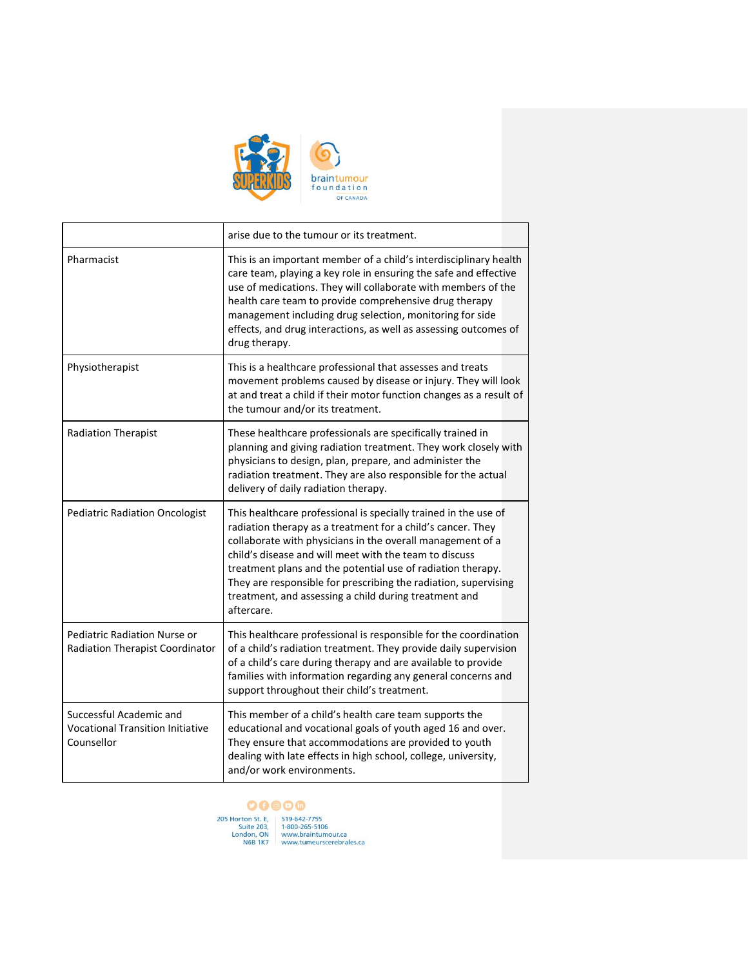

**F** 

|                                                                                  | arise due to the tumour or its treatment.                                                                                                                                                                                                                                                                                                                                                                                                                       |
|----------------------------------------------------------------------------------|-----------------------------------------------------------------------------------------------------------------------------------------------------------------------------------------------------------------------------------------------------------------------------------------------------------------------------------------------------------------------------------------------------------------------------------------------------------------|
| Pharmacist                                                                       | This is an important member of a child's interdisciplinary health<br>care team, playing a key role in ensuring the safe and effective<br>use of medications. They will collaborate with members of the<br>health care team to provide comprehensive drug therapy<br>management including drug selection, monitoring for side<br>effects, and drug interactions, as well as assessing outcomes of<br>drug therapy.                                               |
| Physiotherapist                                                                  | This is a healthcare professional that assesses and treats<br>movement problems caused by disease or injury. They will look<br>at and treat a child if their motor function changes as a result of<br>the tumour and/or its treatment.                                                                                                                                                                                                                          |
| <b>Radiation Therapist</b>                                                       | These healthcare professionals are specifically trained in<br>planning and giving radiation treatment. They work closely with<br>physicians to design, plan, prepare, and administer the<br>radiation treatment. They are also responsible for the actual<br>delivery of daily radiation therapy.                                                                                                                                                               |
| <b>Pediatric Radiation Oncologist</b>                                            | This healthcare professional is specially trained in the use of<br>radiation therapy as a treatment for a child's cancer. They<br>collaborate with physicians in the overall management of a<br>child's disease and will meet with the team to discuss<br>treatment plans and the potential use of radiation therapy.<br>They are responsible for prescribing the radiation, supervising<br>treatment, and assessing a child during treatment and<br>aftercare. |
| Pediatric Radiation Nurse or<br>Radiation Therapist Coordinator                  | This healthcare professional is responsible for the coordination<br>of a child's radiation treatment. They provide daily supervision<br>of a child's care during therapy and are available to provide<br>families with information regarding any general concerns and<br>support throughout their child's treatment.                                                                                                                                            |
| Successful Academic and<br><b>Vocational Transition Initiative</b><br>Counsellor | This member of a child's health care team supports the<br>educational and vocational goals of youth aged 16 and over.<br>They ensure that accommodations are provided to youth<br>dealing with late effects in high school, college, university,<br>and/or work environments.                                                                                                                                                                                   |